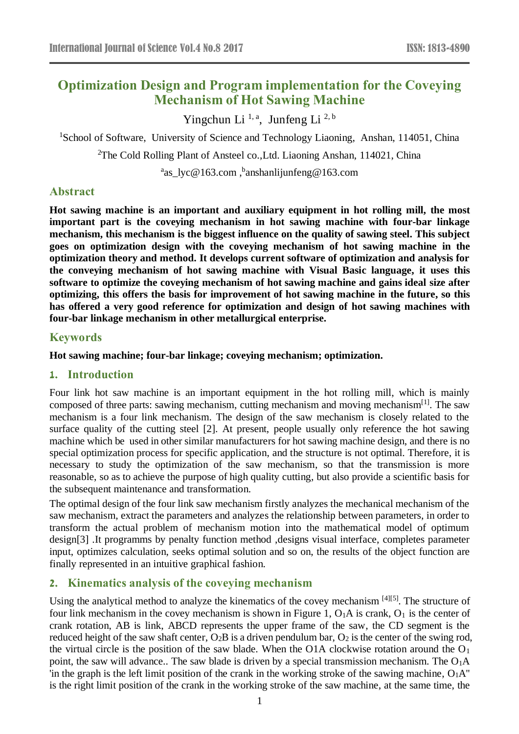# **Optimization Design and Program implementation for the Coveying Mechanism of Hot Sawing Machine**

Yingchun Li<sup>1, a</sup>, Junfeng Li<sup>2, b</sup>

<sup>1</sup>School of Software, University of Science and Technology Liaoning, Anshan, 114051, China

<sup>2</sup>The Cold Rolling Plant of Ansteel co., Ltd. Liaoning Anshan, 114021, China

<sup>a</sup>[as\\_lyc@163.com](mailto:as_lyc@163.com) , banshanlijunfeng@163.com

# **Abstract**

**Hot sawing machine is an important and auxiliary equipment in hot rolling mill, the most important part is the coveying mechanism in hot sawing machine with four-bar linkage mechanism, this mechanism is the biggest influence on the quality of sawing steel. This subject goes on optimization design with the coveying mechanism of hot sawing machine in the optimization theory and method. It develops current software of optimization and analysis for the conveying mechanism of hot sawing machine with Visual Basic language, it uses this software to optimize the coveying mechanism of hot sawing machine and gains ideal size after optimizing, this offers the basis for improvement of hot sawing machine in the future, so this has offered a very good reference for optimization and design of hot sawing machines with four-bar linkage mechanism in other metallurgical enterprise.**

## **Keywords**

**Hot sawing machine; four-bar linkage; coveying mechanism; optimization.** 

## **1. Introduction**

Four link hot saw machine is an important equipment in the hot rolling mill, which is mainly composed of three parts: sawing mechanism, cutting mechanism and moving mechanism<sup>[1]</sup>. The saw mechanism is a four link mechanism. The design of the saw mechanism is closely related to the surface quality of the cutting steel [2]. At present, people usually only reference the hot sawing machine which be used in other similar manufacturers for hot sawing machine design, and there is no special optimization process for specific application, and the structure is not optimal. Therefore, it is necessary to study the optimization of the saw mechanism, so that the transmission is more reasonable, so as to achieve the purpose of high quality cutting, but also provide a scientific basis for the subsequent maintenance and transformation.

The optimal design of the four link saw mechanism firstly analyzes the mechanical mechanism of the saw mechanism, extract the parameters and analyzes the relationship between parameters, in order to transform the actual problem of mechanism motion into the mathematical model of optimum design[3] .It programms by penalty function method ,designs visual interface, completes parameter input, optimizes calculation, seeks optimal solution and so on, the results of the object function are finally represented in an intuitive graphical fashion.

# **2. Kinematics analysis of the coveying mechanism**

Using the analytical method to analyze the kinematics of the covey mechanism <sup>[4][5]</sup>. The structure of four link mechanism in the covey mechanism is shown in Figure 1,  $O_1A$  is crank,  $O_1$  is the center of crank rotation, AB is link, ABCD represents the upper frame of the saw, the CD segment is the reduced height of the saw shaft center,  $O_2B$  is a driven pendulum bar,  $O_2$  is the center of the swing rod, the virtual circle is the position of the saw blade. When the O1A clockwise rotation around the  $O<sub>1</sub>$ point, the saw will advance.. The saw blade is driven by a special transmission mechanism. The  $O_1A$ 'in the graph is the left limit position of the crank in the working stroke of the sawing machine,  $O_1A''$ is the right limit position of the crank in the working stroke of the saw machine, at the same time, the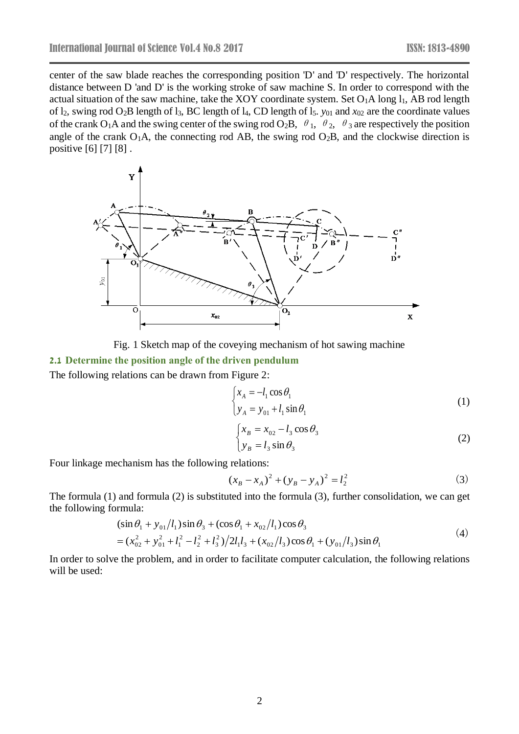center of the saw blade reaches the corresponding position 'D' and 'D' respectively. The horizontal distance between D 'and D' is the working stroke of saw machine S. In order to correspond with the actual situation of the saw machine, take the XOY coordinate system. Set  $O_1A$  long  $l_1$ , AB rod length of l2, swing rod O2B length of l3, BC length of l4, CD length of l5. *y*<sup>01</sup> and *x*<sup>02</sup> are the coordinate values of the crank O<sub>1</sub>A and the swing center of the swing rod O<sub>2</sub>B,  $\theta_1$ ,  $\theta_2$ ,  $\theta_3$  are respectively the position angle of the crank  $O_1A$ , the connecting rod AB, the swing rod  $O_2B$ , and the clockwise direction is positive [6] [7] [8] .





# **2.1 Determine the position angle of the driven pendulum**

The following relations can be drawn from Figure 2:

$$
\begin{cases} x_A = -l_1 \cos \theta_1 \\ y_A = y_{01} + l_1 \sin \theta_1 \end{cases}
$$
 (1)

$$
\begin{cases}\n x_B = x_{02} - l_3 \cos \theta_3 \\
 y_B = l_3 \sin \theta_3\n\end{cases}
$$
\n(2)

Four linkage mechanism has the following relations:

$$
(x_B - x_A)^2 + (y_B - y_A)^2 = l_2^2
$$
 (3)

The formula (1) and formula (2) is substituted into the formula (3), further consolidation, we can get the following formula:

$$
(\sin \theta_1 + y_{01}/l_1) \sin \theta_3 + (\cos \theta_1 + x_{02}/l_1) \cos \theta_3
$$
  
=  $(x_{02}^2 + y_{01}^2 + l_1^2 - l_2^2 + l_3^2)/2l_1l_3 + (x_{02}/l_3) \cos \theta_1 + (y_{01}/l_3) \sin \theta_1$  (4)

In order to solve the problem, and in order to facilitate computer calculation, the following relations will be used: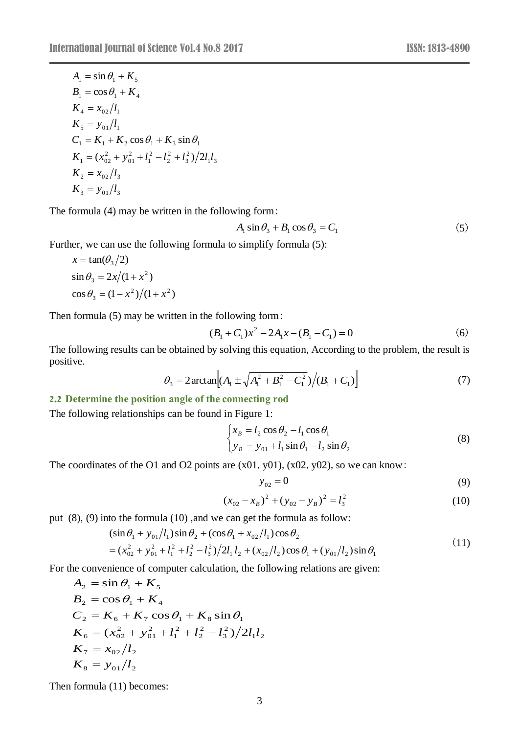$$
A_1 = \sin \theta_1 + K_5
$$
  
\n
$$
B_1 = \cos \theta_1 + K_4
$$
  
\n
$$
K_4 = x_{02}/l_1
$$
  
\n
$$
K_5 = y_{01}/l_1
$$
  
\n
$$
C_1 = K_1 + K_2 \cos \theta_1 + K_3 \sin \theta_1
$$
  
\n
$$
K_1 = (x_{02}^2 + y_{01}^2 + l_1^2 - l_2^2 + l_3^2)/2l_1l_3
$$
  
\n
$$
K_2 = x_{02}/l_3
$$
  
\n
$$
K_3 = y_{01}/l_3
$$

The formula (4) may be written in the following form:

$$
A_1 \sin \theta_3 + B_1 \cos \theta_3 = C_1 \tag{5}
$$

Further, we can use the following formula to simplify formula (5):

$$
x = \tan(\theta_3/2)
$$
  
\n
$$
\sin \theta_3 = 2x/(1 + x^2)
$$
  
\n
$$
\cos \theta_3 = (1 - x^2)/(1 + x^2)
$$

Then formula (5) may be written in the following form:

$$
(B1 + C1)x2 - 2A1x - (B1 - C1) = 0
$$
 (6)

The following results can be obtained by solving this equation, According to the problem, the result is positive.

$$
\theta_3 = 2 \arctan \left[ (A_1 \pm \sqrt{A_1^2 + B_1^2 - C_1^2}) / (B_1 + C_1) \right] \tag{7}
$$

## **2.2 Determine the position angle of the connecting rod**

The following relationships can be found in Figure 1:

$$
\begin{cases}\n x_B = l_2 \cos \theta_2 - l_1 \cos \theta_1 \\
 y_B = y_{01} + l_1 \sin \theta_1 - l_2 \sin \theta_2\n\end{cases}
$$
\n(8)

The coordinates of the O1 and O2 points are  $(x01, y01)$ ,  $(x02, y02)$ , so we can know:

$$
y_{02} = 0 \tag{9}
$$

$$
(x_{02} - x_B)^2 + (y_{02} - y_B)^2 = l_3^2
$$
 (10)

put (8), (9) into the formula (10) ,and we can get the formula as follow:

$$
(\sin \theta_1 + y_{01}/l_1)\sin \theta_2 + (\cos \theta_1 + x_{02}/l_1)\cos \theta_2
$$
  
=  $(x_{02}^2 + y_{01}^2 + l_1^2 + l_2^2 - l_3^2)/2l_1l_2 + (x_{02}/l_2)\cos \theta_1 + (y_{01}/l_2)\sin \theta_1$  (11)

For the convenience of computer calculation, the following relations are given:

$$
A_2 = \sin \theta_1 + K_5
$$
  
\n
$$
B_2 = \cos \theta_1 + K_4
$$
  
\n
$$
C_2 = K_6 + K_7 \cos \theta_1 + K_8 \sin \theta_1
$$
  
\n
$$
K_6 = (x_{02}^2 + y_{01}^2 + l_1^2 + l_2^2 - l_3^2)/2l_1l_2
$$
  
\n
$$
K_7 = x_{02}/l_2
$$
  
\n
$$
K_8 = y_{01}/l_2
$$

Then formula (11) becomes: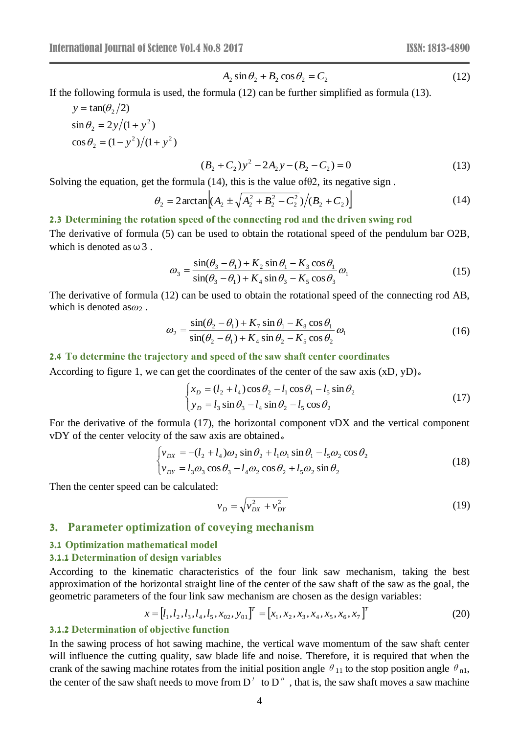$$
A_2 \sin \theta_2 + B_2 \cos \theta_2 = C_2 \tag{12}
$$

If the following formula is used, the formula (12) can be further simplified as formula (13).

$$
y = \tan(\theta_2/2)
$$
  
\n
$$
\sin \theta_2 = 2y/(1 + y^2)
$$
  
\n
$$
\cos \theta_2 = (1 - y^2)/(1 + y^2)
$$

$$
(B2 + C2)y2 - 2A2y - (B2 - C2) = 0
$$
 (13)

Solving the equation, get the formula  $(14)$ , this is the value of  $\theta$ 2, its negative sign.

$$
\theta_2 = 2 \arctan \left[ (A_2 \pm \sqrt{A_2^2 + B_2^2 - C_2^2}) / (B_2 + C_2) \right]
$$
 (14)

#### **2.3 Determining the rotation speed of the connecting rod and the driven swing rod**

The derivative of formula (5) can be used to obtain the rotational speed of the pendulum bar O2B, which is denoted as  $\omega$  3.

$$
\omega_3 = \frac{\sin(\theta_3 - \theta_1) + K_2 \sin \theta_1 - K_3 \cos \theta_1}{\sin(\theta_3 - \theta_1) + K_4 \sin \theta_3 - K_5 \cos \theta_3} \omega_1
$$
\n(15)

The derivative of formula (12) can be used to obtain the rotational speed of the connecting rod AB, which is denoted as*ω*<sup>2</sup> .

$$
\omega_2 = \frac{\sin(\theta_2 - \theta_1) + K_7 \sin \theta_1 - K_8 \cos \theta_1}{\sin(\theta_2 - \theta_1) + K_4 \sin \theta_2 - K_5 \cos \theta_2} \omega_1
$$
\n(16)

#### **2.4 To determine the trajectory and speed of the saw shaft center coordinates**

According to figure 1, we can get the coordinates of the center of the saw axis (xD, yD)。

$$
\begin{cases}\n x_D = (l_2 + l_4)\cos\theta_2 - l_1\cos\theta_1 - l_5\sin\theta_2 \\
 y_D = l_3\sin\theta_3 - l_4\sin\theta_2 - l_5\cos\theta_2\n\end{cases}
$$
\n(17)

For the derivative of the formula (17), the horizontal component vDX and the vertical component vDY of the center velocity of the saw axis are obtained。

$$
\begin{cases}\nv_{DX} = -(l_2 + l_4)\omega_2 \sin \theta_2 + l_1 \omega_1 \sin \theta_1 - l_5 \omega_2 \cos \theta_2 \\
v_{DY} = l_3 \omega_3 \cos \theta_3 - l_4 \omega_2 \cos \theta_2 + l_5 \omega_2 \sin \theta_2\n\end{cases}
$$
\n(18)

Then the center speed can be calculated:

$$
v_D = \sqrt{v_{DX}^2 + v_{DY}^2}
$$
 (19)

#### **3. Parameter optimization of coveying mechanism**

# **3.1 Optimization mathematical model**

# **3.1.1 Determination of design variables**

According to the kinematic characteristics of the four link saw mechanism, taking the best approximation of the horizontal straight line of the center of the saw shaft of the saw as the goal, the geometric parameters of the four link saw mechanism are chosen as the design variables:

$$
x = [l_1, l_2, l_3, l_4, l_5, x_{02}, y_{01}]^T = [x_1, x_2, x_3, x_4, x_5, x_6, x_7]^T
$$
\n(20)

#### **3.1.2 Determination of objective function**

In the sawing process of hot sawing machine, the vertical wave momentum of the saw shaft center will influence the cutting quality, saw blade life and noise. Therefore, it is required that when the crank of the sawing machine rotates from the initial position angle  $\theta_{11}$  to the stop position angle  $\theta_{n1}$ , the center of the saw shaft needs to move from  $D'$  to  $D''$ , that is, the saw shaft moves a saw machine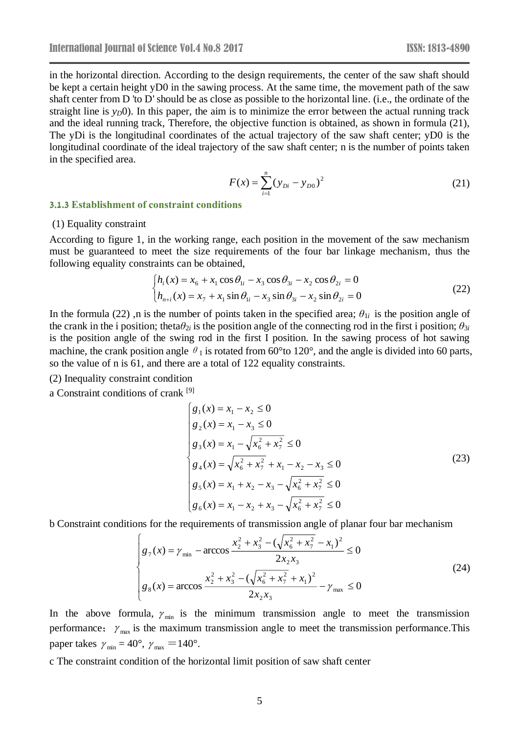in the horizontal direction. According to the design requirements, the center of the saw shaft should be kept a certain height yD0 in the sawing process. At the same time, the movement path of the saw shaft center from D 'to D' should be as close as possible to the horizontal line. (i.e., the ordinate of the straight line is  $y_D(0)$ . In this paper, the aim is to minimize the error between the actual running track and the ideal running track, Therefore, the objective function is obtained, as shown in formula (21), The yDi is the longitudinal coordinates of the actual trajectory of the saw shaft center; yD0 is the longitudinal coordinate of the ideal trajectory of the saw shaft center; n is the number of points taken in the specified area.

$$
F(x) = \sum_{i=1}^{n} (y_{Di} - y_{D0})^2
$$
 (21)

#### **3.1.3 Establishment of constraint conditions**

#### (1) Equality constraint

According to figure 1, in the working range, each position in the movement of the saw mechanism must be guaranteed to meet the size requirements of the four bar linkage mechanism, thus the following equality constraints can be obtained,

$$
\begin{cases}\nh_i(x) = x_6 + x_1 \cos \theta_{1i} - x_3 \cos \theta_{3i} - x_2 \cos \theta_{2i} = 0 \\
h_{n+i}(x) = x_7 + x_1 \sin \theta_{1i} - x_3 \sin \theta_{3i} - x_2 \sin \theta_{2i} = 0\n\end{cases}
$$
\n(22)

In the formula (22), n is the number of points taken in the specified area;  $\theta_{1i}$  is the position angle of the crank in the i position; theta $\theta_{2i}$  is the position angle of the connecting rod in the first i position;  $\theta_{3i}$ is the position angle of the swing rod in the first I position. In the sawing process of hot sawing machine, the crank position angle  $\theta_1$  is rotated from 60 °to 120 °, and the angle is divided into 60 parts, so the value of n is 61, and there are a total of 122 equality constraints.

(2) Inequality constraint condition

a Constraint conditions of crank [9]

$$
\begin{cases}\ng_1(x) = x_1 - x_2 \le 0 \\
g_2(x) = x_1 - x_3 \le 0 \\
g_3(x) = x_1 - \sqrt{x_6^2 + x_7^2} \le 0 \\
g_4(x) = \sqrt{x_6^2 + x_7^2} + x_1 - x_2 - x_3 \le 0 \\
g_5(x) = x_1 + x_2 - x_3 - \sqrt{x_6^2 + x_7^2} \le 0 \\
g_6(x) = x_1 - x_2 + x_3 - \sqrt{x_6^2 + x_7^2} \le 0\n\end{cases}
$$
\n(23)

b Constraint conditions for the requirements of transmission angle of planar four bar mechanism

$$
\begin{cases}\ng_{7}(x) = \gamma_{\min} - \arccos \frac{x_{2}^{2} + x_{3}^{2} - (\sqrt{x_{6}^{2} + x_{7}^{2}} - x_{1})^{2}}{2x_{2}x_{3}} \le 0 \\
g_{8}(x) = \arccos \frac{x_{2}^{2} + x_{3}^{2} - (\sqrt{x_{6}^{2} + x_{7}^{2}} + x_{1})^{2}}{2x_{2}x_{3}} - \gamma_{\max} \le 0\n\end{cases}
$$
\n(24)

In the above formula,  $\gamma_{min}$  is the minimum transmission angle to meet the transmission performance;  $\gamma_{\text{max}}$  is the maximum transmission angle to meet the transmission performance. This paper takes  $\gamma_{\text{min}} = 40^{\circ}, \gamma_{\text{max}} = 140^{\circ}$ .

c The constraint condition of the horizontal limit position of saw shaft center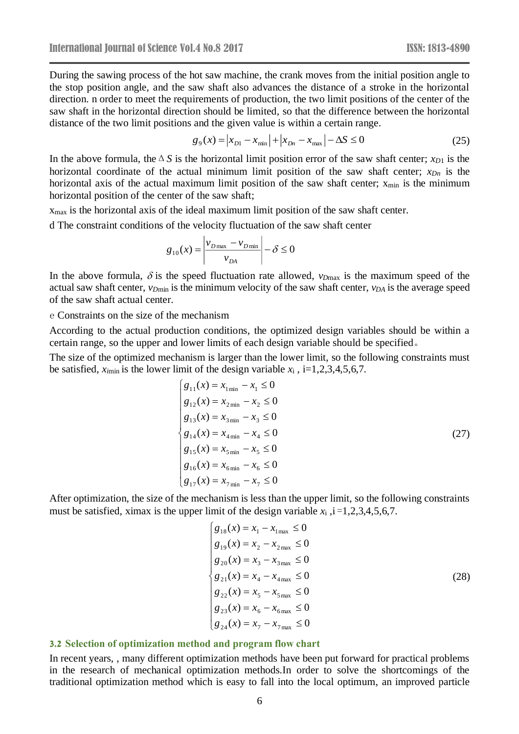During the sawing process of the hot saw machine, the crank moves from the initial position angle to the stop position angle, and the saw shaft also advances the distance of a stroke in the horizontal direction. n order to meet the requirements of production, the two limit positions of the center of the saw shaft in the horizontal direction should be limited, so that the difference between the horizontal distance of the two limit positions and the given value is within a certain range.

$$
g_9(x) = |x_{D1} - x_{min}| + |x_{Dn} - x_{max}| - \Delta S \le 0
$$
 (25)

In the above formula, the  $\Delta S$  is the horizontal limit position error of the saw shaft center; *x*<sub>*D*1</sub> is the horizontal coordinate of the actual minimum limit position of the saw shaft center; *xDn* is the horizontal axis of the actual maximum limit position of the saw shaft center;  $x_{min}$  is the minimum horizontal position of the center of the saw shaft;

 $x<sub>max</sub>$  is the horizontal axis of the ideal maximum limit position of the saw shaft center.

d The constraint conditions of the velocity fluctuation of the saw shaft center

$$
g_{10}(x) = \left| \frac{v_{D\max} - v_{D\min}}{v_{DA}} \right| - \delta \le 0
$$

In the above formula,  $\delta$  is the speed fluctuation rate allowed,  $v_{Dmax}$  is the maximum speed of the actual saw shaft center, *vD*min is the minimum velocity of the saw shaft center, *vDA* is the average speed of the saw shaft actual center.

e Constraints on the size of the mechanism

According to the actual production conditions, the optimized design variables should be within a certain range, so the upper and lower limits of each design variable should be specified。

The size of the optimized mechanism is larger than the lower limit, so the following constraints must be satisfied,  $x_{\text{min}}$  is the lower limit of the design variable  $x_i$ , i=1,2,3,4,5,6,7.

$$
\begin{cases}\ng_{11}(x) = x_{1\min} - x_1 \le 0 \\
g_{12}(x) = x_{2\min} - x_2 \le 0 \\
g_{13}(x) = x_{3\min} - x_3 \le 0 \\
g_{14}(x) = x_{4\min} - x_4 \le 0 \\
g_{15}(x) = x_{5\min} - x_5 \le 0 \\
g_{16}(x) = x_{6\min} - x_6 \le 0 \\
g_{17}(x) = x_{7\min} - x_7 \le 0\n\end{cases}
$$
\n(27)

After optimization, the size of the mechanism is less than the upper limit, so the following constraints must be satisfied, ximax is the upper limit of the design variable  $x_i$ ,  $i = 1,2,3,4,5,6,7$ .

$$
\begin{cases}\ng_{18}(x) = x_1 - x_{1\text{max}} \le 0 \\
g_{19}(x) = x_2 - x_{2\text{max}} \le 0 \\
g_{20}(x) = x_3 - x_{3\text{max}} \le 0 \\
g_{21}(x) = x_4 - x_{4\text{max}} \le 0 \\
g_{22}(x) = x_5 - x_{5\text{max}} \le 0 \\
g_{23}(x) = x_6 - x_{6\text{max}} \le 0 \\
g_{24}(x) = x_7 - x_{7\text{max}} \le 0\n\end{cases}
$$
\n(28)

#### **3.2 Selection of optimization method and program flow chart**

In recent years, , many different optimization methods have been put forward for practical problems in the research of mechanical optimization methods.In order to solve the shortcomings of the traditional optimization method which is easy to fall into the local optimum, an improved particle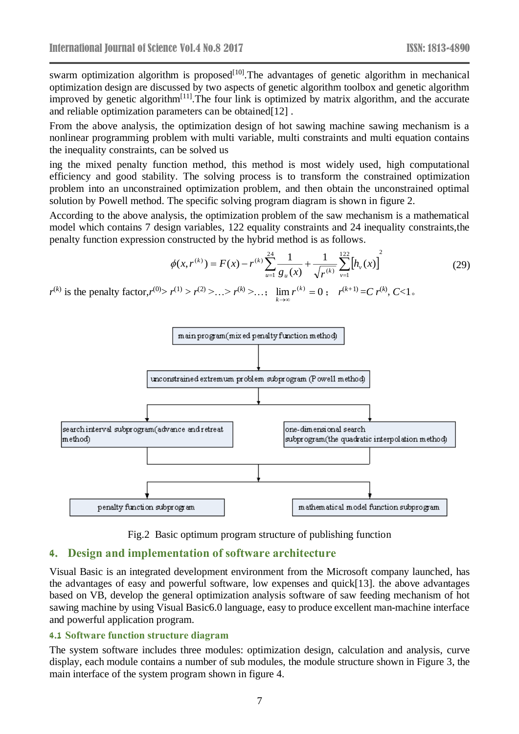swarm optimization algorithm is proposed $[10]$ . The advantages of genetic algorithm in mechanical optimization design are discussed by two aspects of genetic algorithm toolbox and genetic algorithm improved by genetic algorithm<sup>[11]</sup>. The four link is optimized by matrix algorithm, and the accurate and reliable optimization parameters can be obtained[12] .

From the above analysis, the optimization design of hot sawing machine sawing mechanism is a nonlinear programming problem with multi variable, multi constraints and multi equation contains the inequality constraints, can be solved us

ing the mixed penalty function method, this method is most widely used, high computational efficiency and good stability. The solving process is to transform the constrained optimization problem into an unconstrained optimization problem, and then obtain the unconstrained optimal solution by Powell method. The specific solving program diagram is shown in figure 2.

According to the above analysis, the optimization problem of the saw mechanism is a mathematical model which contains 7 design variables, 122 equality constraints and 24 inequality constraints,the penalty function expression constructed by the hybrid method is as follows.

$$
\phi(x, r^{(k)}) = F(x) - r^{(k)} \sum_{u=1}^{24} \frac{1}{g_u(x)} + \frac{1}{\sqrt{r^{(k)}}} \sum_{v=1}^{122} \left[ h_v(x) \right]^2 \tag{29}
$$

 $r^{(k)}$  is the penalty factor, $r^{(0)} > r^{(1)} > r^{(2)} > ... > r^{(k)} > ...$ ;  $\lim_{k \to \infty} r^{(k)} = 0$ →∞  $\lim_{k\to\infty} r^{(k)} = 0$ ;  $r^{(k+1)} = C r^{(k)}$ ,  $C < 1$ .



Fig.2 Basic optimum program structure of publishing function

# **4. Design and implementation of software architecture**

Visual Basic is an integrated development environment from the Microsoft company launched, has the advantages of easy and powerful software, low expenses and quick[13]. the above advantages based on VB, develop the general optimization analysis software of saw feeding mechanism of hot sawing machine by using Visual Basic6.0 language, easy to produce excellent man-machine interface and powerful application program.

## **4.1 Software function structure diagram**

The system software includes three modules: optimization design, calculation and analysis, curve display, each module contains a number of sub modules, the module structure shown in Figure 3, the main interface of the system program shown in figure 4.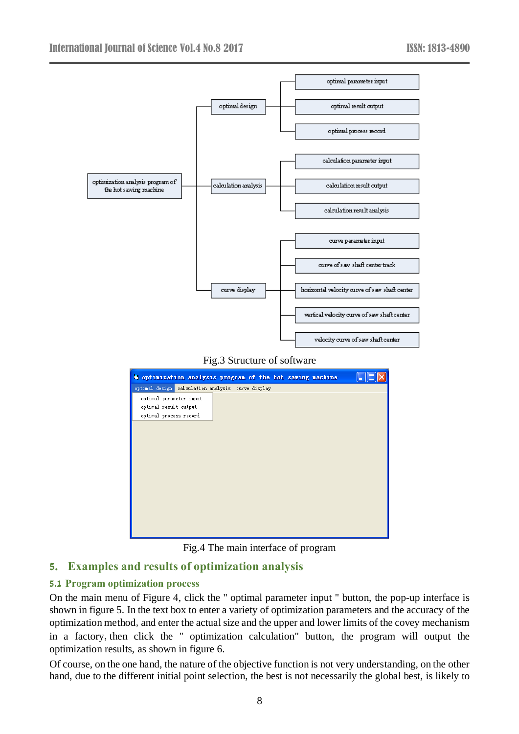

Fig.4 The main interface of program

# **5. Examples and results of optimization analysis**

## **5.1 Program optimization process**

On the main menu of Figure 4, click the " optimal parameter input " button, the pop-up interface is shown in figure 5. In the text box to enter a variety of optimization parameters and the accuracy of the optimization method, and enter the actual size and the upper and lower limits of the covey mechanism in a factory,then click the " optimization calculation" button, the program will output the optimization results, as shown in figure 6.

Of course, on the one hand, the nature of the objective function is not very understanding, on the other hand, due to the different initial point selection, the best is not necessarily the global best, is likely to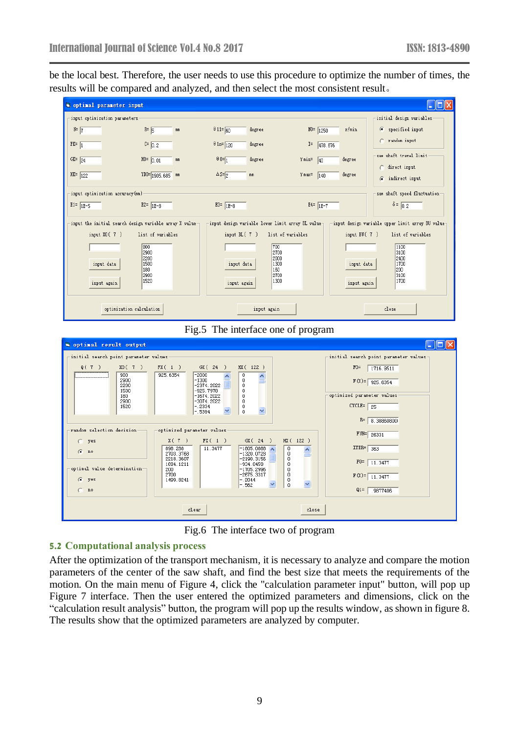be the local best. Therefore, the user needs to use this procedure to optimize the number of times, the results will be compared and analyzed, and then select the most consistent result。



Fig.5 The interface one of program



Fig.6 The interface two of program

# **5.2 Computational analysis process**

After the optimization of the transport mechanism, it is necessary to analyze and compare the motion parameters of the center of the saw shaft, and find the best size that meets the requirements of the motion. On the main menu of Figure 4, click the "calculation parameter input" button, will pop up Figure 7 interface. Then the user entered the optimized parameters and dimensions, click on the "calculation result analysis" button, the program will pop up the results window, as shown in figure 8. The results show that the optimized parameters are analyzed by computer.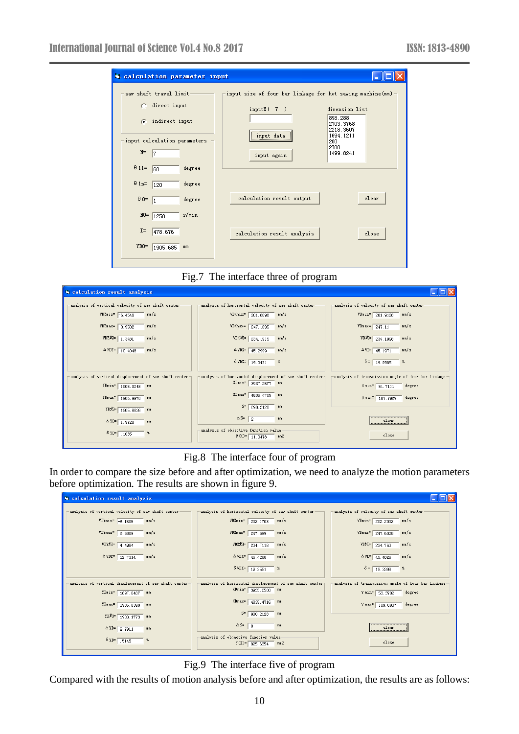| a calculation parameter input                                                                                                                 |                                                                                                                                                                                                       |
|-----------------------------------------------------------------------------------------------------------------------------------------------|-------------------------------------------------------------------------------------------------------------------------------------------------------------------------------------------------------|
| saw shaft travel limit-<br>direct input<br>indirect input<br>œ.<br>input calculation parameters<br>$N=$<br> 7<br>$\theta$ 11=<br>degree<br>60 | input size of four bar linkage for hot sawing machine (mm)<br>dimension list<br>inputX(7)<br>898, 288<br>2703.3768<br>2218.3607<br>1694.1211<br>input data<br>200<br>2700<br>1499.8241<br>input again |
| $\theta$ 1n= 120<br>degree<br>$\theta$ 0 = $\sqrt{1}$<br>degree                                                                               | calculation result output<br>clear                                                                                                                                                                    |
| r/min<br>$NO = 1250$<br>$I =$<br>478.676<br>YDO=<br>1905.685<br>mm                                                                            | calculation result analysis<br>close                                                                                                                                                                  |

Fig.7 The interface three of program

| Calculation result analysis                                                                                                                                            |                                                                   |                                           |  |  |  |  |
|------------------------------------------------------------------------------------------------------------------------------------------------------------------------|-------------------------------------------------------------------|-------------------------------------------|--|--|--|--|
| analysis of vertical velocity of saw shaft center-                                                                                                                     | analysis of horizontal velocity of saw shaft center               | analysis of velocity of saw shaft center- |  |  |  |  |
| $VDYmin = -6.4546$<br>mm/s                                                                                                                                             | VDXmin= 201.8096<br>mn/s                                          | VDmin= $201.9128$<br>mm/s                 |  |  |  |  |
| VDYmax= 3.9502<br>mm/s                                                                                                                                                 | $VDXmax = 247.1095$<br>mm/s                                       | VDm ax= $\sqrt{247.11}$<br>mm/s           |  |  |  |  |
| VDY均= 1.3481<br>nm/s                                                                                                                                                   | VDX均= 234.1915<br>mm/s                                            | VD均= 234.1998<br>mm/s                     |  |  |  |  |
| $\triangle$ VDY= $\sqrt{10.4048}$<br>mm/s                                                                                                                              | $\triangle$ VDX= $\sqrt{45.2999}$<br>mm/s                         | $\triangle$ VD= 45.1971<br>mm/s           |  |  |  |  |
|                                                                                                                                                                        | $\delta$ VDX= 19.3431<br>- 8                                      | $\delta = \sqrt{19.2985}$<br><b>X</b>     |  |  |  |  |
| analysis of vertical displacement of saw shaft center<br>analysis of horizontal displacement of saw shaft center<br>analysis of transmission angle of four bar linkage |                                                                   |                                           |  |  |  |  |
| $YDmin = 1905, 0248$ mm                                                                                                                                                | XDmin= 3937.2577 mm                                               | $\text{W min} = 51.7111$<br>degree        |  |  |  |  |
| YDmax= 1906.9976 mm                                                                                                                                                    | XDm ax= 4835.4705 mm                                              | degree<br>$\sqrt{max}$ 107.7969           |  |  |  |  |
| YD均= 1905.6836 mm                                                                                                                                                      | $S = 898.2128$ mm                                                 |                                           |  |  |  |  |
| $\Delta$ YD= 1.9728<br>mm                                                                                                                                              | $\Delta S = \sqrt{2}$<br>mm                                       | clear                                     |  |  |  |  |
| $8 \text{ YD} = 1035$<br>×                                                                                                                                             | -analysis of objective function value-<br>$F(X) = 11.3478$<br>mm2 | close                                     |  |  |  |  |
|                                                                                                                                                                        |                                                                   |                                           |  |  |  |  |

# Fig.8 The interface four of program

In order to compare the size before and after optimization, we need to analyze the motion parameters before optimization. The results are shown in figure 9.

| a calculation result analysis                                                                                                                                             |                                                                                                                        |                                          |  |  |  |  |
|---------------------------------------------------------------------------------------------------------------------------------------------------------------------------|------------------------------------------------------------------------------------------------------------------------|------------------------------------------|--|--|--|--|
| analysis of vertical velocity of saw shaft center-                                                                                                                        | analysis of horizontal velocity of saw shaft center                                                                    | analysis of velocity of saw shaft center |  |  |  |  |
| $VDYmin = -6.1505$<br>mm/s                                                                                                                                                | VDXmin= 202.1703 mm/s                                                                                                  | $V D min = 202.2002$ mm/s                |  |  |  |  |
| $VDTmax = 6.5809$<br>mm/s                                                                                                                                                 | $VDXmax = 247.599$<br>mm/s                                                                                             | $VDmax = 247.6028$<br>mm/s               |  |  |  |  |
| VDY均= 4.4984<br>mn/s                                                                                                                                                      | VDX均= 234.7118<br>mm/s                                                                                                 | VD均= 234.763<br>mm/s                     |  |  |  |  |
| $\triangle$ VDY= 12.7314<br>mm/s                                                                                                                                          | $\triangle$ VDX= $\sqrt{45.4288}$<br>mm/s                                                                              | $\Delta$ VD= 45, 4026<br>mm/s            |  |  |  |  |
|                                                                                                                                                                           | $\delta$ VDX= 19.3551<br>$ \frac{8}{2}$                                                                                | $\delta = \sqrt{19.3398}$<br>- 8         |  |  |  |  |
| analysis of vertical displacement of saw shaft center-<br>analysis of horizontal displacement of saw shaft center-<br>analysis of transmission angle of four bar linkage- |                                                                                                                        |                                          |  |  |  |  |
| YDmin= 1897.0487 mm                                                                                                                                                       | XDmin= 3935.2588 mm                                                                                                    | $\sqrt{min}$ 53.3702<br>degree           |  |  |  |  |
| YDmax= 1906.8399 mm                                                                                                                                                       | XDm ax= 4835.4716 mm                                                                                                   | $\sqrt{max} = 109.0937$<br>degree        |  |  |  |  |
| YD均= 1903.1773 mm                                                                                                                                                         | $S = \sqrt{900.2128}$ mm                                                                                               |                                          |  |  |  |  |
| $\triangle$ YD= $\boxed{9.7911}$<br>mm                                                                                                                                    | $\Delta S = \boxed{0}$<br>mm                                                                                           | clear                                    |  |  |  |  |
| $8 \text{ YD} = 5145$<br>x                                                                                                                                                | analysis of objective function value-<br>$\mathbb{F}(X) = \left[ \begin{array}{c} 925.6354 \end{array} \right]$<br>mm2 | close                                    |  |  |  |  |

Fig.9 The interface five of program

Compared with the results of motion analysis before and after optimization, the results are as follows: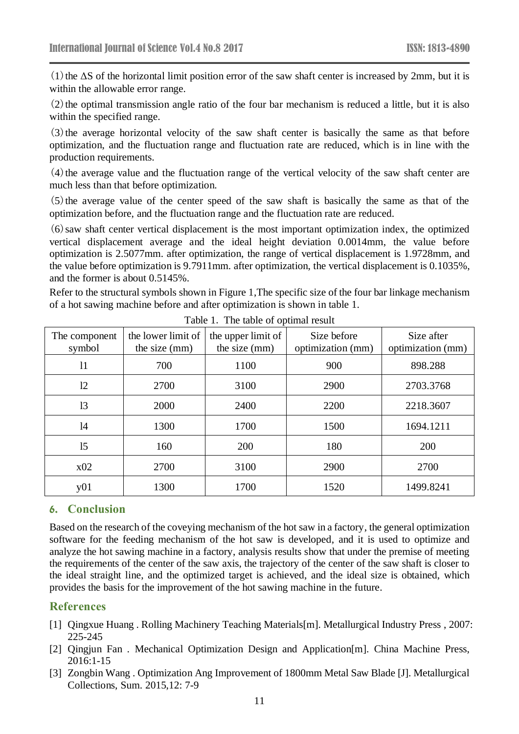(1) the  $\Delta S$  of the horizontal limit position error of the saw shaft center is increased by 2mm, but it is within the allowable error range.

 $(2)$  the optimal transmission angle ratio of the four bar mechanism is reduced a little, but it is also within the specified range.

(3)the average horizontal velocity of the saw shaft center is basically the same as that before optimization, and the fluctuation range and fluctuation rate are reduced, which is in line with the production requirements.

 $(4)$  the average value and the fluctuation range of the vertical velocity of the saw shaft center are much less than that before optimization.

 $(5)$  the average value of the center speed of the saw shaft is basically the same as that of the optimization before, and the fluctuation range and the fluctuation rate are reduced.

(6)saw shaft center vertical displacement is the most important optimization index, the optimized vertical displacement average and the ideal height deviation 0.0014mm, the value before optimization is 2.5077mm. after optimization, the range of vertical displacement is 1.9728mm, and the value before optimization is 9.7911mm. after optimization, the vertical displacement is 0.1035%, and the former is about 0.5145%.

Refer to the structural symbols shown in Figure 1,The specific size of the four bar linkage mechanism of a hot sawing machine before and after optimization is shown in table 1.

| The component<br>symbol | the lower limit of<br>the size (mm) | the upper limit of<br>the size (mm) | Size before<br>optimization (mm) | Size after<br>optimization (mm) |
|-------------------------|-------------------------------------|-------------------------------------|----------------------------------|---------------------------------|
| 11                      | 700                                 | 1100                                | 900                              | 898.288                         |
| 12                      | 2700                                | 3100                                | 2900                             | 2703.3768                       |
| 13                      | 2000                                | 2400                                | 2200                             | 2218.3607                       |
| 14                      | 1300                                | 1700                                | 1500                             | 1694.1211                       |
| 15                      | 160                                 | 200                                 | 180                              | 200                             |
| x02                     | 2700                                | 3100                                | 2900                             | 2700                            |
| y01                     | 1300                                | 1700                                | 1520                             | 1499.8241                       |

Table 1. The table of optimal result

## **6. Conclusion**

Based on the research of the coveying mechanism of the hot saw in a factory, the general optimization software for the feeding mechanism of the hot saw is developed, and it is used to optimize and analyze the hot sawing machine in a factory, analysis results show that under the premise of meeting the requirements of the center of the saw axis, the trajectory of the center of the saw shaft is closer to the ideal straight line, and the optimized target is achieved, and the ideal size is obtained, which provides the basis for the improvement of the hot sawing machine in the future.

## **References**

- [1] Qingxue Huang . Rolling Machinery Teaching Materials[m]. Metallurgical Industry Press , 2007: 225-245
- [2] Qingjun Fan . Mechanical Optimization Design and Application[m]. China Machine Press, 2016:1-15
- [3] Zongbin Wang . Optimization Ang Improvement of 1800mm Metal Saw Blade [J]. Metallurgical Collections, Sum. 2015,12: 7-9